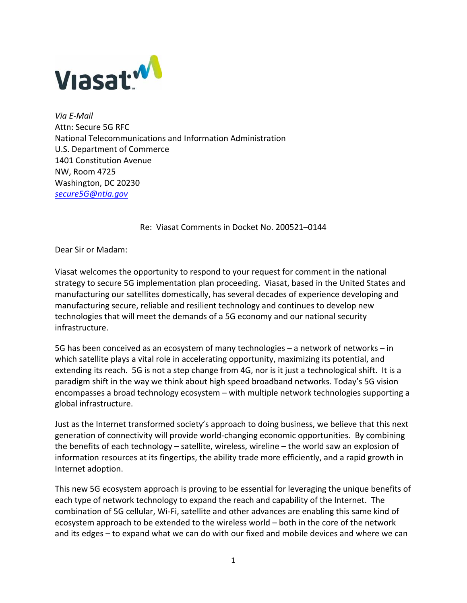

*Via E-Mail*  Attn: Secure 5G RFC National Telecommunications and Information Administration U.S. Department of Commerce 1401 Constitution Avenue NW, Room 4725 Washington, DC 20230 *secure5G@ntia.gov*

Re: Viasat Comments in Docket No. 200521–0144

Dear Sir or Madam:

Viasat welcomes the opportunity to respond to your request for comment in the national strategy to secure 5G implementation plan proceeding. Viasat, based in the United States and manufacturing our satellites domestically, has several decades of experience developing and manufacturing secure, reliable and resilient technology and continues to develop new technologies that will meet the demands of a 5G economy and our national security infrastructure.

5G has been conceived as an ecosystem of many technologies – a network of networks – in which satellite plays a vital role in accelerating opportunity, maximizing its potential, and extending its reach. 5G is not a step change from 4G, nor is it just a technological shift. It is a paradigm shift in the way we think about high speed broadband networks. Today's 5G vision encompasses a broad technology ecosystem – with multiple network technologies supporting a global infrastructure.

Just as the Internet transformed society's approach to doing business, we believe that this next generation of connectivity will provide world-changing economic opportunities. By combining the benefits of each technology – satellite, wireless, wireline – the world saw an explosion of information resources at its fingertips, the ability trade more efficiently, and a rapid growth in Internet adoption.

This new 5G ecosystem approach is proving to be essential for leveraging the unique benefits of each type of network technology to expand the reach and capability of the Internet. The combination of 5G cellular, Wi-Fi, satellite and other advances are enabling this same kind of ecosystem approach to be extended to the wireless world – both in the core of the network and its edges – to expand what we can do with our fixed and mobile devices and where we can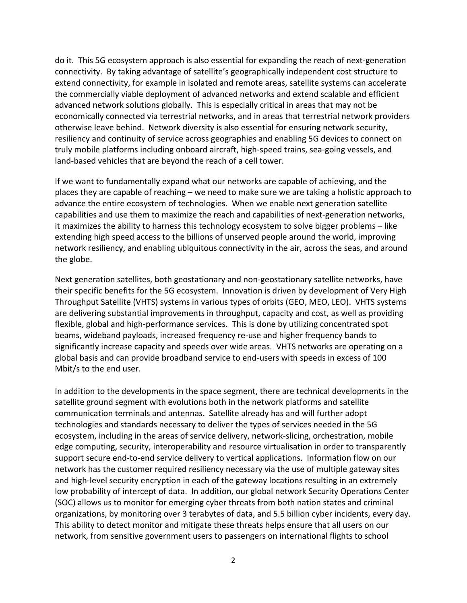do it. This 5G ecosystem approach is also essential for expanding the reach of next-generation connectivity. By taking advantage of satellite's geographically independent cost structure to extend connectivity, for example in isolated and remote areas, satellite systems can accelerate the commercially viable deployment of advanced networks and extend scalable and efficient advanced network solutions globally. This is especially critical in areas that may not be economically connected via terrestrial networks, and in areas that terrestrial network providers otherwise leave behind. Network diversity is also essential for ensuring network security, resiliency and continuity of service across geographies and enabling 5G devices to connect on truly mobile platforms including onboard aircraft, high-speed trains, sea-going vessels, and land-based vehicles that are beyond the reach of a cell tower.

If we want to fundamentally expand what our networks are capable of achieving, and the places they are capable of reaching – we need to make sure we are taking a holistic approach to advance the entire ecosystem of technologies. When we enable next generation satellite capabilities and use them to maximize the reach and capabilities of next-generation networks, it maximizes the ability to harness this technology ecosystem to solve bigger problems – like extending high speed access to the billions of unserved people around the world, improving network resiliency, and enabling ubiquitous connectivity in the air, across the seas, and around the globe.

Next generation satellites, both geostationary and non-geostationary satellite networks, have their specific benefits for the 5G ecosystem. Innovation is driven by development of Very High Throughput Satellite (VHTS) systems in various types of orbits (GEO, MEO, LEO). VHTS systems are delivering substantial improvements in throughput, capacity and cost, as well as providing flexible, global and high-performance services. This is done by utilizing concentrated spot beams, wideband payloads, increased frequency re-use and higher frequency bands to significantly increase capacity and speeds over wide areas. VHTS networks are operating on a global basis and can provide broadband service to end-users with speeds in excess of 100 Mbit/s to the end user.

In addition to the developments in the space segment, there are technical developments in the satellite ground segment with evolutions both in the network platforms and satellite communication terminals and antennas. Satellite already has and will further adopt technologies and standards necessary to deliver the types of services needed in the 5G ecosystem, including in the areas of service delivery, network-slicing, orchestration, mobile edge computing, security, interoperability and resource virtualisation in order to transparently support secure end-to-end service delivery to vertical applications. Information flow on our network has the customer required resiliency necessary via the use of multiple gateway sites and high-level security encryption in each of the gateway locations resulting in an extremely low probability of intercept of data. In addition, our global network Security Operations Center (SOC) allows us to monitor for emerging cyber threats from both nation states and criminal organizations, by monitoring over 3 terabytes of data, and 5.5 billion cyber incidents, every day. This ability to detect monitor and mitigate these threats helps ensure that all users on our network, from sensitive government users to passengers on international flights to school